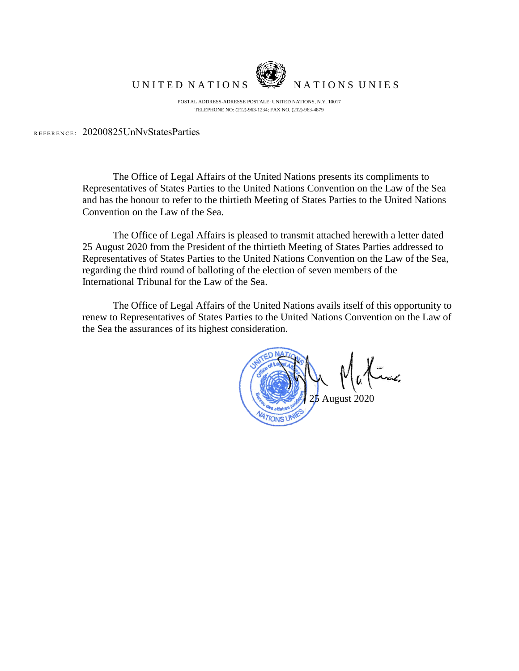

UNITED NATIONS WE NATIONS UNIES

POSTAL ADDRESS-ADRESSE POSTALE: UNITED NATIONS, N.Y. 10017 TELEPHONE NO: (212)-963-1234; FAX NO. (212)-963-4879

REFERENCE: 20200825UnNvStatesParties

The Office of Legal Affairs of the United Nations presents its compliments to Representatives of States Parties to the United Nations Convention on the Law of the Sea and has the honour to refer to the thirtieth Meeting of States Parties to the United Nations Convention on the Law of the Sea.

The Office of Legal Affairs is pleased to transmit attached herewith a letter dated 25 August 2020 from the President of the thirtieth Meeting of States Parties addressed to Representatives of States Parties to the United Nations Convention on the Law of the Sea, regarding the third round of balloting of the election of seven members of the International Tribunal for the Law of the Sea.

The Office of Legal Affairs of the United Nations avails itself of this opportunity to renew to Representatives of States Parties to the United Nations Convention on the Law of the Sea the assurances of its highest consideration.

August 2020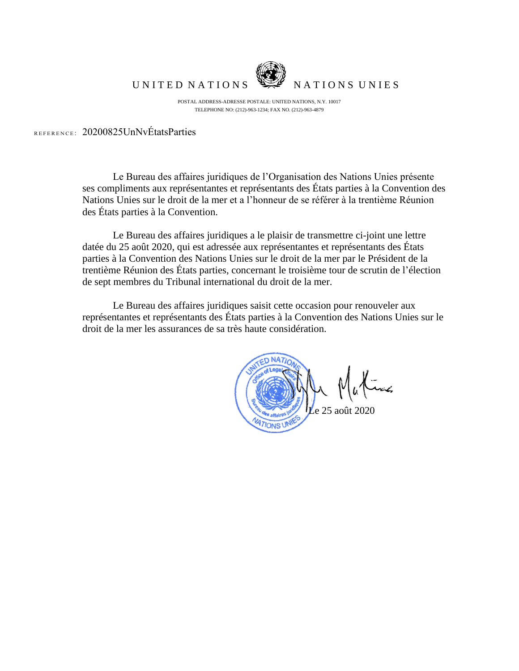

UNITED NATIONS WE NATIONS UNIES

POSTAL ADDRESS-ADRESSE POSTALE: UNITED NATIONS, N.Y. 10017 TELEPHONE NO: (212)-963-1234; FAX NO. (212)-963-4879

REFERENCE: 20200825UnNvÉtatsParties

Le Bureau des affaires juridiques de l'Organisation des Nations Unies présente ses compliments aux représentantes et représentants des États parties à la Convention des Nations Unies sur le droit de la mer et a l'honneur de se référer à la trentième Réunion des États parties à la Convention.

Le Bureau des affaires juridiques a le plaisir de transmettre ci-joint une lettre datée du 25 août 2020, qui est adressée aux représentantes et représentants des États parties à la Convention des Nations Unies sur le droit de la mer par le Président de la trentième Réunion des États parties, concernant le troisième tour de scrutin de l'élection de sept membres du Tribunal international du droit de la mer.

Le Bureau des affaires juridiques saisit cette occasion pour renouveler aux représentantes et représentants des États parties à la Convention des Nations Unies sur le droit de la mer les assurances de sa très haute considération.

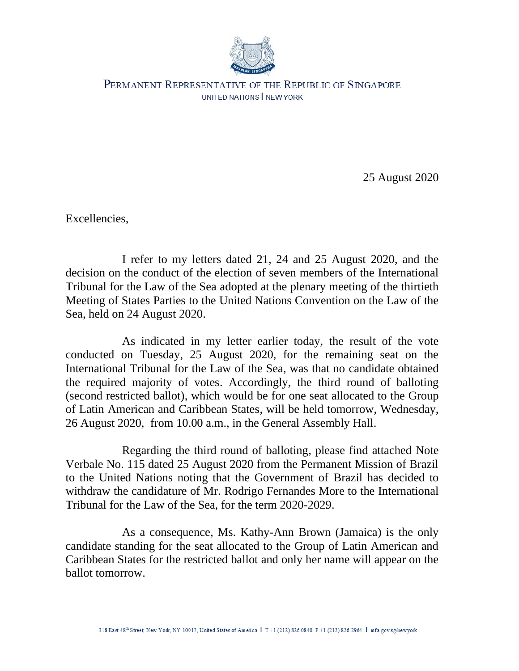

PERMANENT REPRESENTATIVE OF THE REPUBLIC OF SINGAPORE UNITED NATIONS NEW YORK

25 August 2020

Excellencies,

I refer to my letters dated 21, 24 and 25 August 2020, and the decision on the conduct of the election of seven members of the International Tribunal for the Law of the Sea adopted at the plenary meeting of the thirtieth Meeting of States Parties to the United Nations Convention on the Law of the Sea, held on 24 August 2020.

As indicated in my letter earlier today, the result of the vote conducted on Tuesday, 25 August 2020, for the remaining seat on the International Tribunal for the Law of the Sea, was that no candidate obtained the required majority of votes. Accordingly, the third round of balloting (second restricted ballot), which would be for one seat allocated to the Group of Latin American and Caribbean States, will be held tomorrow, Wednesday, 26 August 2020, from 10.00 a.m., in the General Assembly Hall.

Regarding the third round of balloting, please find attached Note Verbale No. 115 dated 25 August 2020 from the Permanent Mission of Brazil to the United Nations noting that the Government of Brazil has decided to withdraw the candidature of Mr. Rodrigo Fernandes More to the International Tribunal for the Law of the Sea, for the term 2020-2029.

As a consequence, Ms. Kathy-Ann Brown (Jamaica) is the only candidate standing for the seat allocated to the Group of Latin American and Caribbean States for the restricted ballot and only her name will appear on the ballot tomorrow.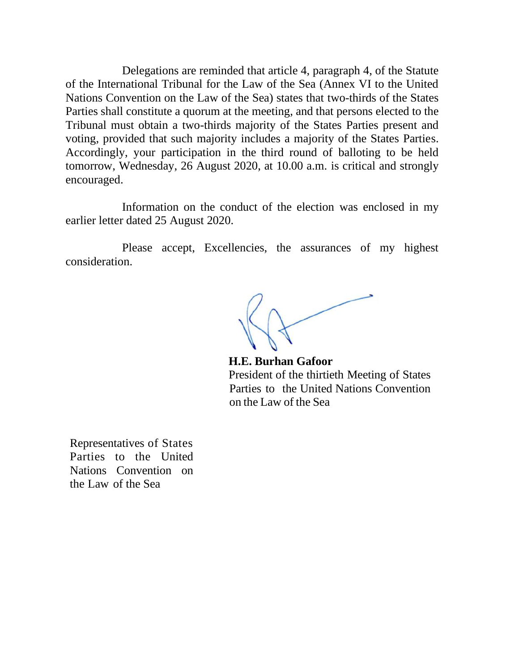Delegations are reminded that article 4, paragraph 4, of the Statute of the International Tribunal for the Law of the Sea (Annex VI to the United Nations Convention on the Law of the Sea) states that two-thirds of the States Parties shall constitute a quorum at the meeting, and that persons elected to the Tribunal must obtain a two-thirds majority of the States Parties present and voting, provided that such majority includes a majority of the States Parties. Accordingly, your participation in the third round of balloting to be held tomorrow, Wednesday, 26 August 2020, at 10.00 a.m. is critical and strongly encouraged.

Information on the conduct of the election was enclosed in my earlier letter dated 25 August 2020.

Please accept, Excellencies, the assurances of my highest consideration.

**H.E. Burhan Gafoor** President of the thirtieth Meeting of States Parties to the United Nations Convention on the Law of the Sea

Representatives of States Parties to the United Nations Convention on the Law of the Sea